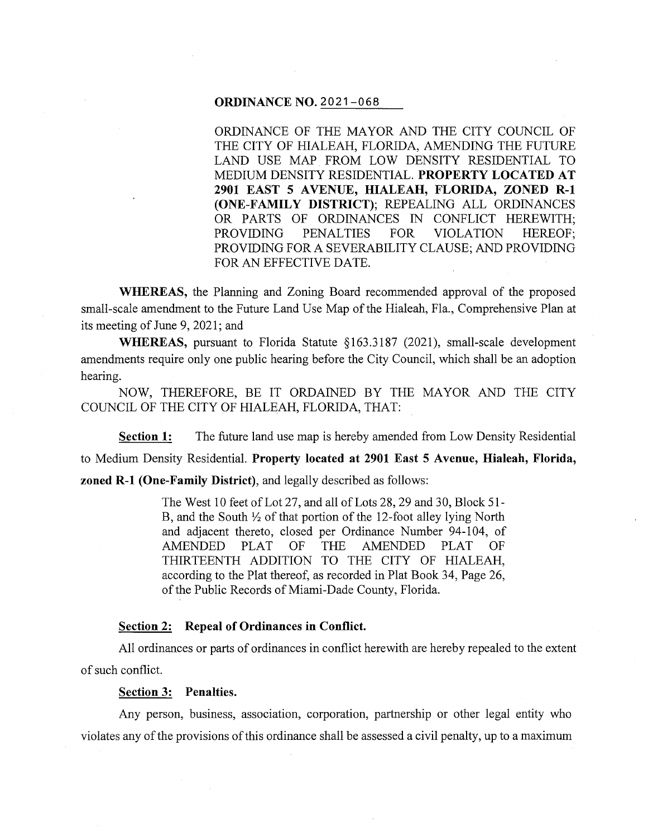#### **ORDINANCE NO.** 2021-068

ORDINANCE OF THE MAYOR AND THE CITY COUNCIL OF THE CITY OF HIALEAH, FLORIDA, AMENDING THE FUTURE LAND USE MAP FROM LOW DENSITY RESIDENTIAL TO MEDIUM DENSITY RESIDENTIAL. **PROPERTY LOCATED AT 2901 EAST 5 A VENUE, HIALEAH, FLORIDA, ZONED R-1 (ONE-FAMILY DISTRICT);** REPEALING ALL ORDINANCES OR PARTS OF ORDINANCES IN CONFLICT HEREWITH; PROVIDING PENALTIES FOR VIOLATION HEREOF; PROVIDING FOR A SEVERABILITY CLAUSE; AND PROVIDING FOR AN EFFECTIVE DATE.

**WHEREAS,** the Planning and Zoning Board recommended approval of the proposed small-scale amendment to the Future Land Use Map of the Hialeah, Fla., Comprehensive Plan at its meeting of June 9, 2021; and

WHEREAS, pursuant to Florida Statute §163.3187 (2021), small-scale development amendments require only one public hearing before the City Council, which shall be an adoption hearing.

NOW, THEREFORE, BE IT ORDAINED BY THE MAYOR AND THE CITY COUNCIL OF THE CITY OF HIALEAH, FLORIDA, THAT:

**Section 1:** The future land use map is hereby amended from Low Density Residential to Medium Density Residential. **Property located at 2901 East 5 Avenue, Hialeah, Florida, zoned R-1 (One-Family District),** and legally described as follows:

> The West 10 feet of Lot 27, and all of Lots 28, 29 and 30, Block 51- B, and the South  $\frac{1}{2}$  of that portion of the 12-foot alley lying North and adjacent thereto, closed per Ordinance Number 94-104, of AMENDED PLAT OF THE AMENDED PLAT OF THIRTEENTH ADDITION TO THE CITY OF HIALEAH, according to the Plat thereof, as recorded in Plat Book 34, Page 26, of the Public Records of Miami-Dade County, Florida.

# **Section 2: Repeal of Ordinances in Conflict.**

All ordinances or parts of ordinances in conflict herewith are hereby repealed to the extent of such conflict.

### **Section 3: Penalties.**

Any person, business, association, corporation, partnership or other legal entity who violates any of the provisions of this ordinance shall be assessed a civil penalty, up to a maximum